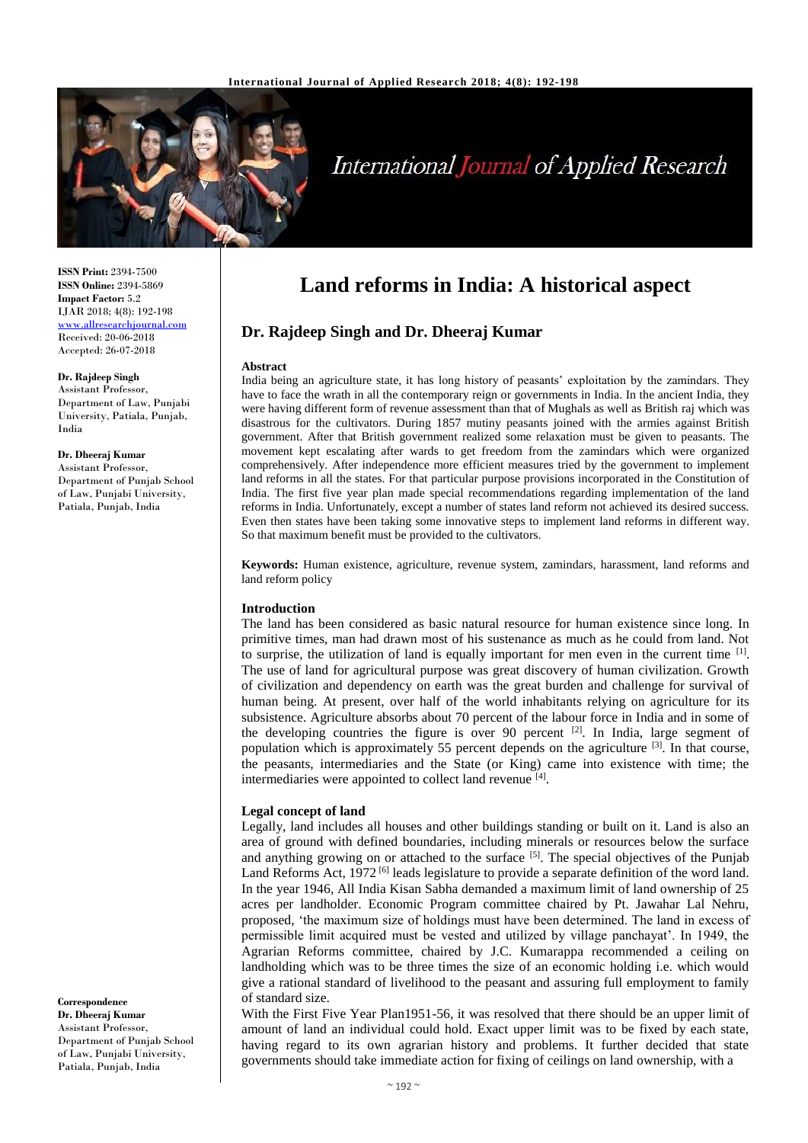

# **International Journal of Applied Research**

**ISSN Print:** 2394-7500 **ISSN Online:** 2394-5869 **Impact Factor:** 5.2 IJAR 2018; 4(8): 192-198 <www.allresearchjournal.com> Received: 20-06-2018 Accepted: 26-07-2018

**Dr. Rajdeep Singh** Assistant Professor, Department of Law, Punjabi University, Patiala, Punjab, India

**Dr. Dheeraj Kumar** Assistant Professor, Department of Punjab School of Law, Punjabi University, Patiala, Punjab, India

**Correspondence Dr. Dheeraj Kumar** Assistant Professor, Department of Punjab School of Law, Punjabi University, Patiala, Punjab, India

## **Land reforms in India: A historical aspect**

## **Dr. Rajdeep Singh and Dr. Dheeraj Kumar**

#### **Abstract**

India being an agriculture state, it has long history of peasants' exploitation by the zamindars. They have to face the wrath in all the contemporary reign or governments in India. In the ancient India, they were having different form of revenue assessment than that of Mughals as well as British raj which was disastrous for the cultivators. During 1857 mutiny peasants joined with the armies against British government. After that British government realized some relaxation must be given to peasants. The movement kept escalating after wards to get freedom from the zamindars which were organized comprehensively. After independence more efficient measures tried by the government to implement land reforms in all the states. For that particular purpose provisions incorporated in the Constitution of India. The first five year plan made special recommendations regarding implementation of the land reforms in India. Unfortunately, except a number of states land reform not achieved its desired success. Even then states have been taking some innovative steps to implement land reforms in different way. So that maximum benefit must be provided to the cultivators.

**Keywords:** Human existence, agriculture, revenue system, zamindars, harassment, land reforms and land reform policy

#### **Introduction**

The land has been considered as basic natural resource for human existence since long. In primitive times, man had drawn most of his sustenance as much as he could from land. Not to surprise, the utilization of land is equally important for men even in the current time [1]. The use of land for agricultural purpose was great discovery of human civilization. Growth of civilization and dependency on earth was the great burden and challenge for survival of human being. At present, over half of the world inhabitants relying on agriculture for its subsistence. Agriculture absorbs about 70 percent of the labour force in India and in some of the developing countries the figure is over 90 percent  $[2]$ . In India, large segment of population which is approximately 55 percent depends on the agriculture <sup>[3]</sup>. In that course, the peasants, intermediaries and the State (or King) came into existence with time; the intermediaries were appointed to collect land revenue [4].

#### **Legal concept of land**

Legally, land includes all houses and other buildings standing or built on it. Land is also an area of ground with defined boundaries, including minerals or resources below the surface and anything growing on or attached to the surface  $[5]$ . The special objectives of the Punjab Land Reforms Act, 1972<sup>[6]</sup> leads legislature to provide a separate definition of the word land. In the year 1946, All India Kisan Sabha demanded a maximum limit of land ownership of 25 acres per landholder. Economic Program committee chaired by Pt. Jawahar Lal Nehru, proposed, 'the maximum size of holdings must have been determined. The land in excess of permissible limit acquired must be vested and utilized by village panchayat'. In 1949, the Agrarian Reforms committee, chaired by J.C. Kumarappa recommended a ceiling on landholding which was to be three times the size of an economic holding i.e. which would give a rational standard of livelihood to the peasant and assuring full employment to family of standard size.

With the First Five Year Plan1951-56, it was resolved that there should be an upper limit of amount of land an individual could hold. Exact upper limit was to be fixed by each state, having regard to its own agrarian history and problems. It further decided that state governments should take immediate action for fixing of ceilings on land ownership, with a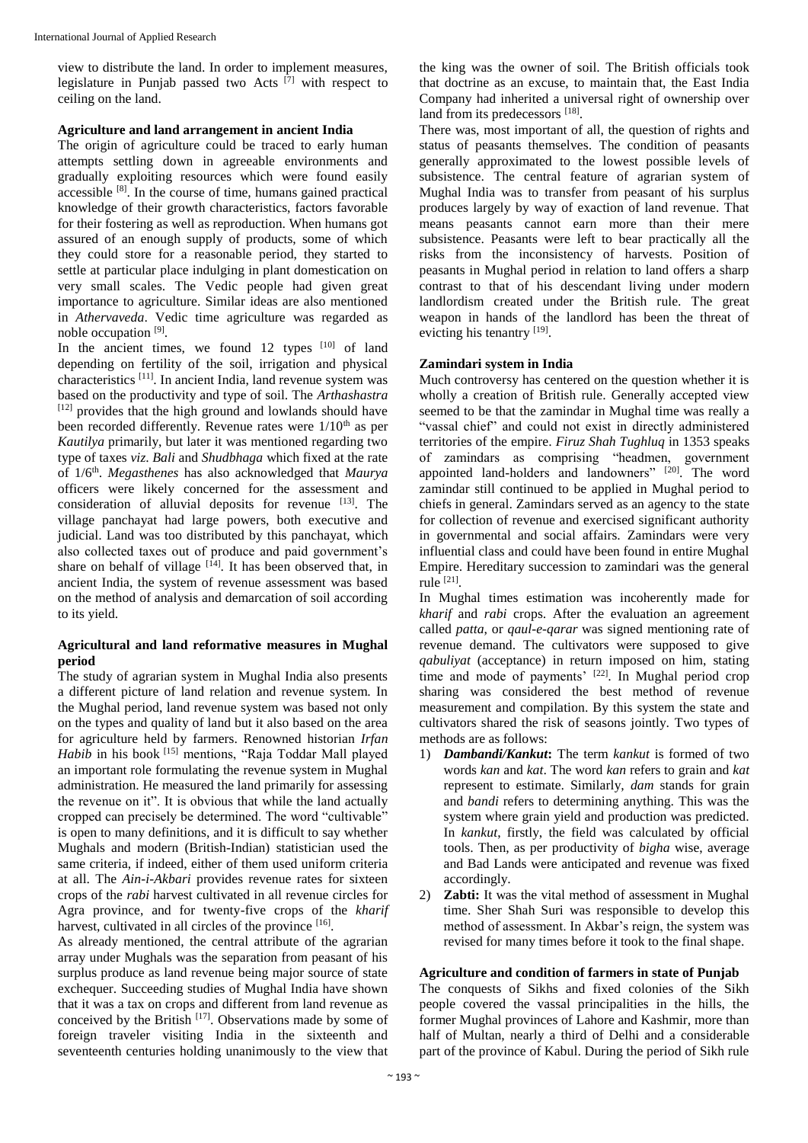view to distribute the land. In order to implement measures, legislature in Punjab passed two Acts  $[7]$  with respect to ceiling on the land.

#### **Agriculture and land arrangement in ancient India**

The origin of agriculture could be traced to early human attempts settling down in agreeable environments and gradually exploiting resources which were found easily accessible [8]. In the course of time, humans gained practical knowledge of their growth characteristics, factors favorable for their fostering as well as reproduction. When humans got assured of an enough supply of products, some of which they could store for a reasonable period, they started to settle at particular place indulging in plant domestication on very small scales. The Vedic people had given great importance to agriculture. Similar ideas are also mentioned in *Athervaveda*. Vedic time agriculture was regarded as noble occupation [9].

In the ancient times, we found  $12$  types  $[10]$  of land depending on fertility of the soil, irrigation and physical characteristics [11]. In ancient India, land revenue system was based on the productivity and type of soil. The *Arthashastra* [12] provides that the high ground and lowlands should have been recorded differently. Revenue rates were  $1/10<sup>th</sup>$  as per *Kautilya* primarily, but later it was mentioned regarding two type of taxes *viz*. *Bali* and *Shudbhaga* which fixed at the rate of 1/6th . *Megasthenes* has also acknowledged that *Maurya* officers were likely concerned for the assessment and consideration of alluvial deposits for revenue [13]. The village panchayat had large powers, both executive and judicial. Land was too distributed by this panchayat, which also collected taxes out of produce and paid government's share on behalf of village  $[14]$ . It has been observed that, in ancient India, the system of revenue assessment was based on the method of analysis and demarcation of soil according to its yield.

### **Agricultural and land reformative measures in Mughal period**

The study of agrarian system in Mughal India also presents a different picture of land relation and revenue system. In the Mughal period, land revenue system was based not only on the types and quality of land but it also based on the area for agriculture held by farmers. Renowned historian *Irfan Habib* in his book [15] mentions, "Raja Toddar Mall played an important role formulating the revenue system in Mughal administration. He measured the land primarily for assessing the revenue on it". It is obvious that while the land actually cropped can precisely be determined. The word "cultivable" is open to many definitions, and it is difficult to say whether Mughals and modern (British-Indian) statistician used the same criteria, if indeed, either of them used uniform criteria at all. The *Ain-i-Akbari* provides revenue rates for sixteen crops of the *rabi* harvest cultivated in all revenue circles for Agra province, and for twenty-five crops of the *kharif* harvest, cultivated in all circles of the province [16].

As already mentioned, the central attribute of the agrarian array under Mughals was the separation from peasant of his surplus produce as land revenue being major source of state exchequer. Succeeding studies of Mughal India have shown that it was a tax on crops and different from land revenue as conceived by the British [17]. Observations made by some of foreign traveler visiting India in the sixteenth and seventeenth centuries holding unanimously to the view that

the king was the owner of soil. The British officials took that doctrine as an excuse, to maintain that, the East India Company had inherited a universal right of ownership over land from its predecessors [18].

There was, most important of all, the question of rights and status of peasants themselves. The condition of peasants generally approximated to the lowest possible levels of subsistence. The central feature of agrarian system of Mughal India was to transfer from peasant of his surplus produces largely by way of exaction of land revenue. That means peasants cannot earn more than their mere subsistence. Peasants were left to bear practically all the risks from the inconsistency of harvests. Position of peasants in Mughal period in relation to land offers a sharp contrast to that of his descendant living under modern landlordism created under the British rule. The great weapon in hands of the landlord has been the threat of evicting his tenantry [19].

## **Zamindari system in India**

Much controversy has centered on the question whether it is wholly a creation of British rule. Generally accepted view seemed to be that the zamindar in Mughal time was really a "vassal chief" and could not exist in directly administered territories of the empire. *Firuz Shah Tughluq* in 1353 speaks of zamindars as comprising "headmen, government appointed land-holders and landowners" [20]. The word zamindar still continued to be applied in Mughal period to chiefs in general. Zamindars served as an agency to the state for collection of revenue and exercised significant authority in governmental and social affairs. Zamindars were very influential class and could have been found in entire Mughal Empire. Hereditary succession to zamindari was the general rule [21] .

In Mughal times estimation was incoherently made for *kharif* and *rabi* crops. After the evaluation an agreement called *patta*, or *qaul-e-qarar* was signed mentioning rate of revenue demand. The cultivators were supposed to give *qabuliyat* (acceptance) in return imposed on him, stating time and mode of payments'  $[22]$ . In Mughal period crop sharing was considered the best method of revenue measurement and compilation. By this system the state and cultivators shared the risk of seasons jointly. Two types of methods are as follows:

- 1) *Dambandi/Kankut***:** The term *kankut* is formed of two words *kan* and *kat*. The word *kan* refers to grain and *kat* represent to estimate. Similarly, *dam* stands for grain and *bandi* refers to determining anything. This was the system where grain yield and production was predicted. In *kankut*, firstly, the field was calculated by official tools. Then, as per productivity of *bigha* wise, average and Bad Lands were anticipated and revenue was fixed accordingly.
- 2) **Zabti:** It was the vital method of assessment in Mughal time. Sher Shah Suri was responsible to develop this method of assessment. In Akbar's reign, the system was revised for many times before it took to the final shape.

### **Agriculture and condition of farmers in state of Punjab**

The conquests of Sikhs and fixed colonies of the Sikh people covered the vassal principalities in the hills, the former Mughal provinces of Lahore and Kashmir, more than half of Multan, nearly a third of Delhi and a considerable part of the province of Kabul. During the period of Sikh rule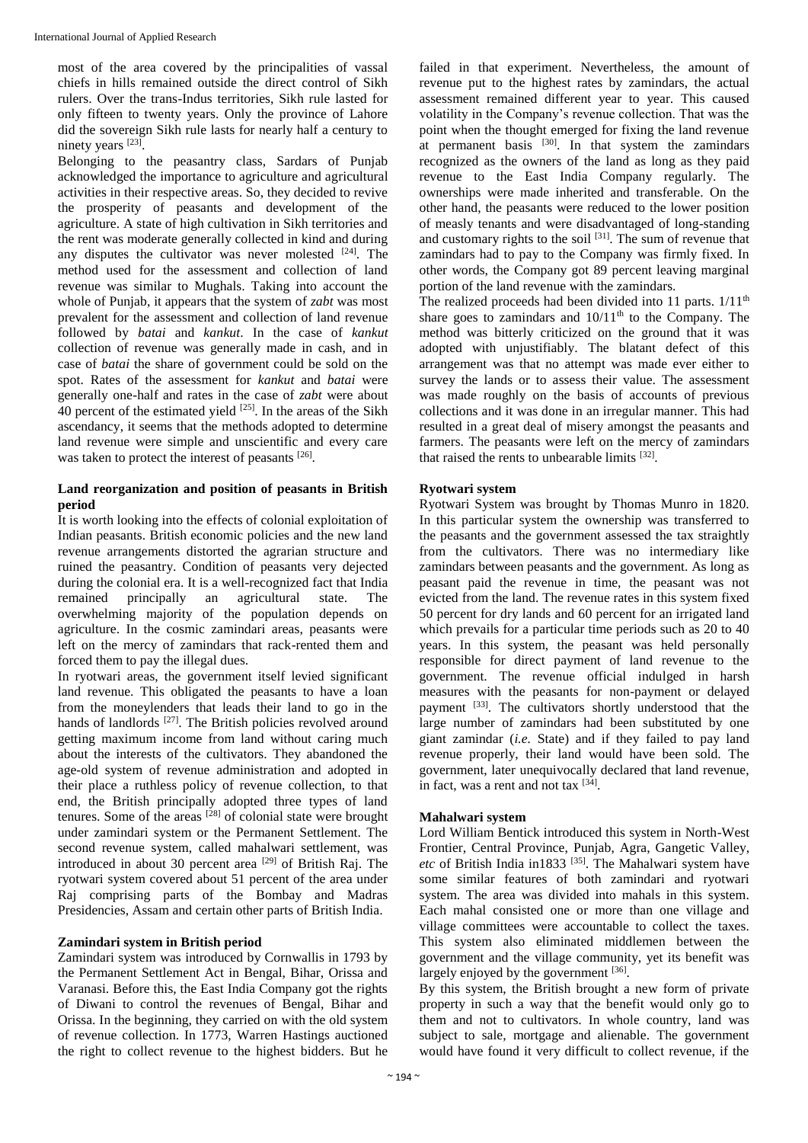most of the area covered by the principalities of vassal chiefs in hills remained outside the direct control of Sikh rulers. Over the trans-Indus territories, Sikh rule lasted for only fifteen to twenty years. Only the province of Lahore did the sovereign Sikh rule lasts for nearly half a century to ninety years [23].

Belonging to the peasantry class, Sardars of Punjab acknowledged the importance to agriculture and agricultural activities in their respective areas. So, they decided to revive the prosperity of peasants and development of the agriculture. A state of high cultivation in Sikh territories and the rent was moderate generally collected in kind and during any disputes the cultivator was never molested  $[24]$ . The method used for the assessment and collection of land revenue was similar to Mughals. Taking into account the whole of Punjab, it appears that the system of *zabt* was most prevalent for the assessment and collection of land revenue followed by *batai* and *kankut*. In the case of *kankut* collection of revenue was generally made in cash, and in case of *batai* the share of government could be sold on the spot. Rates of the assessment for *kankut* and *batai* were generally one-half and rates in the case of *zabt* were about 40 percent of the estimated yield <sup>[25]</sup>. In the areas of the Sikh ascendancy, it seems that the methods adopted to determine land revenue were simple and unscientific and every care was taken to protect the interest of peasants [26].

#### **Land reorganization and position of peasants in British period**

It is worth looking into the effects of colonial exploitation of Indian peasants. British economic policies and the new land revenue arrangements distorted the agrarian structure and ruined the peasantry. Condition of peasants very dejected during the colonial era. It is a well-recognized fact that India remained principally an agricultural state. The overwhelming majority of the population depends on agriculture. In the cosmic zamindari areas, peasants were left on the mercy of zamindars that rack-rented them and forced them to pay the illegal dues.

In ryotwari areas, the government itself levied significant land revenue. This obligated the peasants to have a loan from the moneylenders that leads their land to go in the hands of landlords <sup>[27]</sup>. The British policies revolved around getting maximum income from land without caring much about the interests of the cultivators. They abandoned the age-old system of revenue administration and adopted in their place a ruthless policy of revenue collection, to that end, the British principally adopted three types of land tenures. Some of the areas [28] of colonial state were brought under zamindari system or the Permanent Settlement. The second revenue system, called mahalwari settlement, was introduced in about 30 percent area <sup>[29]</sup> of British Raj. The ryotwari system covered about 51 percent of the area under Raj comprising parts of the Bombay and Madras Presidencies, Assam and certain other parts of British India.

### **Zamindari system in British period**

Zamindari system was introduced by Cornwallis in 1793 by the Permanent Settlement Act in Bengal, Bihar, Orissa and Varanasi. Before this, the East India Company got the rights of Diwani to control the revenues of Bengal, Bihar and Orissa. In the beginning, they carried on with the old system of revenue collection. In 1773, Warren Hastings auctioned the right to collect revenue to the highest bidders. But he

failed in that experiment. Nevertheless, the amount of revenue put to the highest rates by zamindars, the actual assessment remained different year to year. This caused volatility in the Company's revenue collection. That was the point when the thought emerged for fixing the land revenue at permanent basis  $\left[30\right]$ . In that system the zamindars recognized as the owners of the land as long as they paid revenue to the East India Company regularly. The ownerships were made inherited and transferable. On the other hand, the peasants were reduced to the lower position of measly tenants and were disadvantaged of long-standing and customary rights to the soil  $[31]$ . The sum of revenue that zamindars had to pay to the Company was firmly fixed. In other words, the Company got 89 percent leaving marginal portion of the land revenue with the zamindars.

The realized proceeds had been divided into 11 parts.  $1/11<sup>th</sup>$ share goes to zamindars and  $10/11<sup>th</sup>$  to the Company. The method was bitterly criticized on the ground that it was adopted with unjustifiably. The blatant defect of this arrangement was that no attempt was made ever either to survey the lands or to assess their value. The assessment was made roughly on the basis of accounts of previous collections and it was done in an irregular manner. This had resulted in a great deal of misery amongst the peasants and farmers. The peasants were left on the mercy of zamindars that raised the rents to unbearable limits [32].

## **Ryotwari system**

Ryotwari System was brought by Thomas Munro in 1820. In this particular system the ownership was transferred to the peasants and the government assessed the tax straightly from the cultivators. There was no intermediary like zamindars between peasants and the government. As long as peasant paid the revenue in time, the peasant was not evicted from the land. The revenue rates in this system fixed 50 percent for dry lands and 60 percent for an irrigated land which prevails for a particular time periods such as 20 to 40 years. In this system, the peasant was held personally responsible for direct payment of land revenue to the government. The revenue official indulged in harsh measures with the peasants for non-payment or delayed payment [33]. The cultivators shortly understood that the large number of zamindars had been substituted by one giant zamindar (*i.e.* State) and if they failed to pay land revenue properly, their land would have been sold. The government, later unequivocally declared that land revenue, in fact, was a rent and not tax [34].

### **Mahalwari system**

Lord William Bentick introduced this system in North-West Frontier, Central Province, Punjab, Agra, Gangetic Valley, *etc* of British India in1833 [35]. The Mahalwari system have some similar features of both zamindari and ryotwari system. The area was divided into mahals in this system. Each mahal consisted one or more than one village and village committees were accountable to collect the taxes. This system also eliminated middlemen between the government and the village community, yet its benefit was largely enjoyed by the government [36].

By this system, the British brought a new form of private property in such a way that the benefit would only go to them and not to cultivators. In whole country, land was subject to sale, mortgage and alienable. The government would have found it very difficult to collect revenue, if the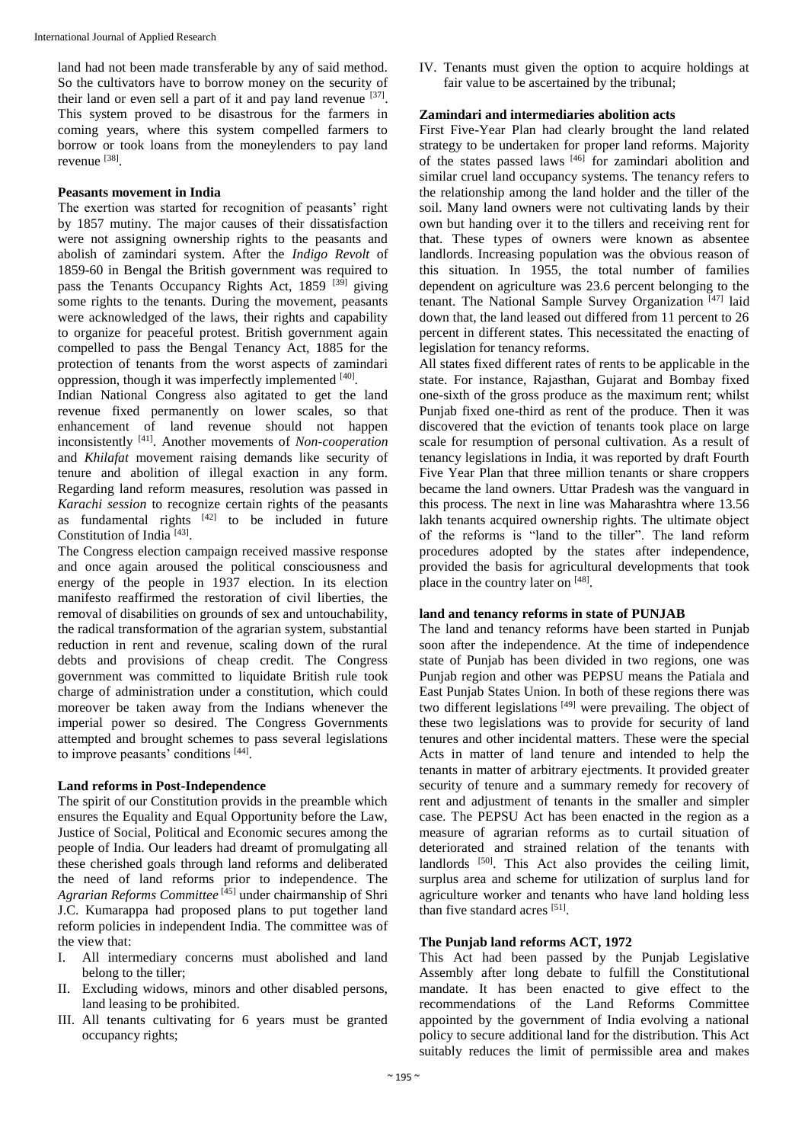land had not been made transferable by any of said method. So the cultivators have to borrow money on the security of their land or even sell a part of it and pay land revenue  $[37]$ . This system proved to be disastrous for the farmers in coming years, where this system compelled farmers to borrow or took loans from the moneylenders to pay land revenue [38] .

#### **Peasants movement in India**

The exertion was started for recognition of peasants' right by 1857 mutiny. The major causes of their dissatisfaction were not assigning ownership rights to the peasants and abolish of zamindari system. After the *Indigo Revolt* of 1859-60 in Bengal the British government was required to pass the Tenants Occupancy Rights Act, 1859 <sup>[39]</sup> giving some rights to the tenants. During the movement, peasants were acknowledged of the laws, their rights and capability to organize for peaceful protest. British government again compelled to pass the Bengal Tenancy Act, 1885 for the protection of tenants from the worst aspects of zamindari oppression, though it was imperfectly implemented [40].

Indian National Congress also agitated to get the land revenue fixed permanently on lower scales, so that enhancement of land revenue should not happen inconsistently [41]. Another movements of *Non-cooperation*  and *Khilafat* movement raising demands like security of tenure and abolition of illegal exaction in any form. Regarding land reform measures, resolution was passed in *Karachi session* to recognize certain rights of the peasants as fundamental rights  $[42]$  to be included in future Constitution of India<sup>[43]</sup>.

The Congress election campaign received massive response and once again aroused the political consciousness and energy of the people in 1937 election. In its election manifesto reaffirmed the restoration of civil liberties, the removal of disabilities on grounds of sex and untouchability, the radical transformation of the agrarian system, substantial reduction in rent and revenue, scaling down of the rural debts and provisions of cheap credit. The Congress government was committed to liquidate British rule took charge of administration under a constitution, which could moreover be taken away from the Indians whenever the imperial power so desired. The Congress Governments attempted and brought schemes to pass several legislations to improve peasants' conditions [44].

### **Land reforms in Post-Independence**

The spirit of our Constitution provids in the preamble which ensures the Equality and Equal Opportunity before the Law, Justice of Social, Political and Economic secures among the people of India. Our leaders had dreamt of promulgating all these cherished goals through land reforms and deliberated the need of land reforms prior to independence. The *Agrarian Reforms Committee* [45] under chairmanship of Shri J.C. Kumarappa had proposed plans to put together land reform policies in independent India. The committee was of the view that:

- I. All intermediary concerns must abolished and land belong to the tiller;
- II. Excluding widows, minors and other disabled persons, land leasing to be prohibited.
- III. All tenants cultivating for 6 years must be granted occupancy rights;

IV. Tenants must given the option to acquire holdings at fair value to be ascertained by the tribunal;

#### **Zamindari and intermediaries abolition acts**

First Five-Year Plan had clearly brought the land related strategy to be undertaken for proper land reforms. Majority of the states passed laws [46] for zamindari abolition and similar cruel land occupancy systems. The tenancy refers to the relationship among the land holder and the tiller of the soil. Many land owners were not cultivating lands by their own but handing over it to the tillers and receiving rent for that. These types of owners were known as absentee landlords. Increasing population was the obvious reason of this situation. In 1955, the total number of families dependent on agriculture was 23.6 percent belonging to the tenant. The National Sample Survey Organization<sup>[47]</sup> laid down that, the land leased out differed from 11 percent to 26 percent in different states. This necessitated the enacting of legislation for tenancy reforms.

All states fixed different rates of rents to be applicable in the state. For instance, Rajasthan, Gujarat and Bombay fixed one-sixth of the gross produce as the maximum rent; whilst Punjab fixed one-third as rent of the produce. Then it was discovered that the eviction of tenants took place on large scale for resumption of personal cultivation. As a result of tenancy legislations in India, it was reported by draft Fourth Five Year Plan that three million tenants or share croppers became the land owners. Uttar Pradesh was the vanguard in this process. The next in line was Maharashtra where 13.56 lakh tenants acquired ownership rights. The ultimate object of the reforms is "land to the tiller". The land reform procedures adopted by the states after independence, provided the basis for agricultural developments that took place in the country later on [48].

#### **land and tenancy reforms in state of PUNJAB**

The land and tenancy reforms have been started in Punjab soon after the independence. At the time of independence state of Punjab has been divided in two regions, one was Punjab region and other was PEPSU means the Patiala and East Punjab States Union. In both of these regions there was two different legislations  $[49]$  were prevailing. The object of these two legislations was to provide for security of land tenures and other incidental matters. These were the special Acts in matter of land tenure and intended to help the tenants in matter of arbitrary ejectments. It provided greater security of tenure and a summary remedy for recovery of rent and adjustment of tenants in the smaller and simpler case. The PEPSU Act has been enacted in the region as a measure of agrarian reforms as to curtail situation of deteriorated and strained relation of the tenants with landlords <sup>[50]</sup>. This Act also provides the ceiling limit, surplus area and scheme for utilization of surplus land for agriculture worker and tenants who have land holding less than five standard acres [51].

## **The Punjab land reforms ACT, 1972**

This Act had been passed by the Punjab Legislative Assembly after long debate to fulfill the Constitutional mandate. It has been enacted to give effect to the recommendations of the Land Reforms Committee appointed by the government of India evolving a national policy to secure additional land for the distribution. This Act suitably reduces the limit of permissible area and makes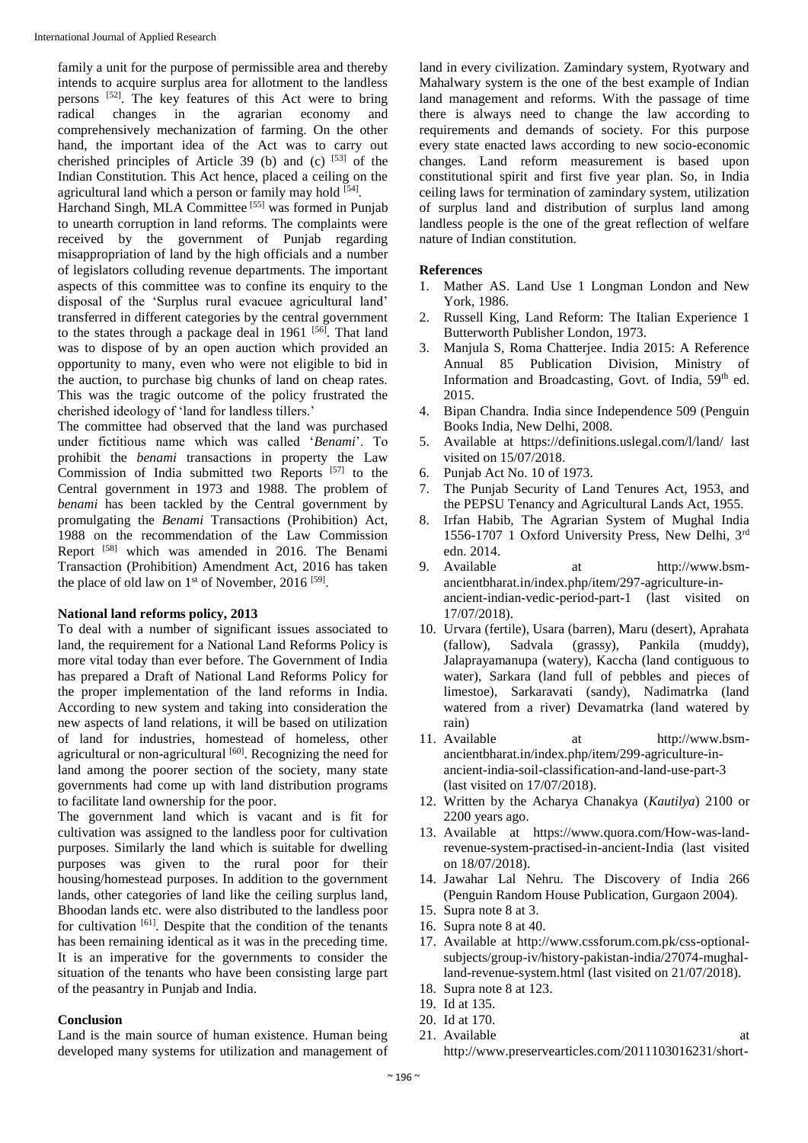family a unit for the purpose of permissible area and thereby intends to acquire surplus area for allotment to the landless persons  $[52]$ . The key features of this Act were to bring radical changes in the agrarian economy and comprehensively mechanization of farming. On the other hand, the important idea of the Act was to carry out cherished principles of Article 39 (b) and (c)  $[53]$  of the Indian Constitution. This Act hence, placed a ceiling on the agricultural land which a person or family may hold [54].

Harchand Singh, MLA Committee [55] was formed in Punjab to unearth corruption in land reforms. The complaints were received by the government of Punjab regarding misappropriation of land by the high officials and a number of legislators colluding revenue departments. The important aspects of this committee was to confine its enquiry to the disposal of the 'Surplus rural evacuee agricultural land' transferred in different categories by the central government to the states through a package deal in  $1961$  [56]. That land was to dispose of by an open auction which provided an opportunity to many, even who were not eligible to bid in the auction, to purchase big chunks of land on cheap rates. This was the tragic outcome of the policy frustrated the cherished ideology of 'land for landless tillers.'

The committee had observed that the land was purchased under fictitious name which was called '*Benami*'. To prohibit the *benami* transactions in property the Law Commission of India submitted two Reports [57] to the Central government in 1973 and 1988. The problem of *benami* has been tackled by the Central government by promulgating the *Benami* Transactions (Prohibition) Act, 1988 on the recommendation of the Law Commission Report [58] which was amended in 2016. The Benami Transaction (Prohibition) Amendment Act, 2016 has taken the place of old law on  $1<sup>st</sup>$  of November, 2016<sup>[59]</sup>.

### **National land reforms policy, 2013**

To deal with a number of significant issues associated to land, the requirement for a National Land Reforms Policy is more vital today than ever before. The Government of India has prepared a Draft of National Land Reforms Policy for the proper implementation of the land reforms in India. According to new system and taking into consideration the new aspects of land relations, it will be based on utilization of land for industries, homestead of homeless, other agricultural or non-agricultural [60]. Recognizing the need for land among the poorer section of the society, many state governments had come up with land distribution programs to facilitate land ownership for the poor.

The government land which is vacant and is fit for cultivation was assigned to the landless poor for cultivation purposes. Similarly the land which is suitable for dwelling purposes was given to the rural poor for their housing/homestead purposes. In addition to the government lands, other categories of land like the ceiling surplus land, Bhoodan lands etc. were also distributed to the landless poor for cultivation  $[61]$ . Despite that the condition of the tenants has been remaining identical as it was in the preceding time. It is an imperative for the governments to consider the situation of the tenants who have been consisting large part of the peasantry in Punjab and India.

#### **Conclusion**

Land is the main source of human existence. Human being developed many systems for utilization and management of land in every civilization. Zamindary system, Ryotwary and Mahalwary system is the one of the best example of Indian land management and reforms. With the passage of time there is always need to change the law according to requirements and demands of society. For this purpose every state enacted laws according to new socio-economic changes. Land reform measurement is based upon constitutional spirit and first five year plan. So, in India ceiling laws for termination of zamindary system, utilization of surplus land and distribution of surplus land among landless people is the one of the great reflection of welfare nature of Indian constitution.

#### **References**

- 1. Mather AS. Land Use 1 Longman London and New York, 1986.
- 2. Russell King, Land Reform: The Italian Experience 1 Butterworth Publisher London, 1973.
- 3. Manjula S, Roma Chatterjee. India 2015: A Reference Annual 85 Publication Division, Ministry of Information and Broadcasting, Govt. of India,  $59<sup>th</sup>$  ed. 2015.
- 4. Bipan Chandra*.* India since Independence 509 (Penguin Books India, New Delhi, 2008.
- 5. Available at https://definitions.uslegal.com/l/land/ last visited on 15/07/2018.
- 6. Punjab Act No. 10 of 1973.
- 7. The Punjab Security of Land Tenures Act, 1953, and the PEPSU Tenancy and Agricultural Lands Act, 1955.
- 8. Irfan Habib, The Agrarian System of Mughal India 1556-1707 1 Oxford University Press, New Delhi, 3rd edn. 2014.
- 9. Available at http://www.bsmancientbharat.in/index.php/item/297-agriculture-inancient-indian-vedic-period-part-1 (last visited on 17/07/2018).
- 10. Urvara (fertile), Usara (barren), Maru (desert), Aprahata (fallow), Sadvala (grassy), Pankila (muddy), Jalaprayamanupa (watery), Kaccha (land contiguous to water), Sarkara (land full of pebbles and pieces of limestoe), Sarkaravati (sandy), Nadimatrka (land watered from a river) Devamatrka (land watered by
- rain)<br>11. Available at http://www.bsmancientbharat.in/index.php/item/299-agriculture-inancient-india-soil-classification-and-land-use-part-3 (last visited on 17/07/2018).
- 12. Written by the Acharya Chanakya (*Kautilya*) 2100 or 2200 years ago.
- 13. Available at https://www.quora.com/How-was-landrevenue-system-practised-in-ancient-India (last visited on 18/07/2018).
- 14. Jawahar Lal Nehru. The Discovery of India 266 (Penguin Random House Publication, Gurgaon 2004).
- 15. Supra note 8 at 3.
- 16. Supra note 8 at 40.
- 17. Available at http://www.cssforum.com.pk/css-optionalsubjects/group-iv/history-pakistan-india/27074-mughalland-revenue-system.html (last visited on 21/07/2018).
- 18. Supra note 8 at 123.
- 19. Id at 135.
- 20. Id at 170.
- 21. Available at http://www.preservearticles.com/2011103016231/short-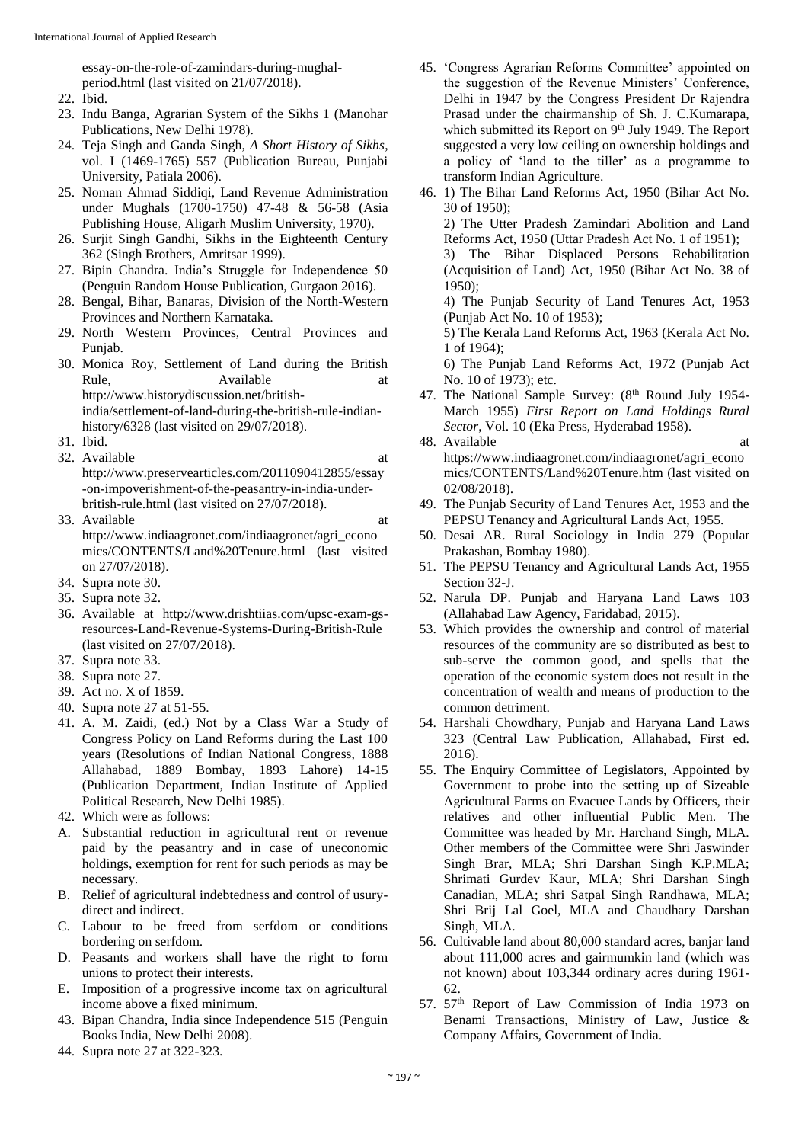essay-on-the-role-of-zamindars-during-mughalperiod.html (last visited on 21/07/2018).

- 22. Ibid.
- 23. Indu Banga, Agrarian System of the Sikhs 1 (Manohar Publications, New Delhi 1978).
- 24. Teja Singh and Ganda Singh, *A Short History of Sikhs*, vol. I (1469-1765) 557 (Publication Bureau, Punjabi University, Patiala 2006).
- 25. Noman Ahmad Siddiqi, Land Revenue Administration under Mughals (1700-1750) 47-48 & 56-58 (Asia Publishing House, Aligarh Muslim University, 1970).
- 26. Surjit Singh Gandhi, Sikhs in the Eighteenth Century 362 (Singh Brothers, Amritsar 1999).
- 27. Bipin Chandra. India's Struggle for Independence 50 (Penguin Random House Publication, Gurgaon 2016).
- 28. Bengal, Bihar, Banaras, Division of the North-Western Provinces and Northern Karnataka.
- 29. North Western Provinces, Central Provinces and Punjab.
- 30. Monica Roy, Settlement of Land during the British Rule, Available at http://www.historydiscussion.net/britishindia/settlement-of-land-during-the-british-rule-indianhistory/6328 (last visited on 29/07/2018).
- 31. Ibid.
- 32. Available at a state of  $\alpha$  at a state of  $\alpha$  at a state of  $\alpha$  at a state of  $\alpha$  at a state of  $\alpha$  at a state of  $\alpha$  at a state of  $\alpha$  at a state of  $\alpha$  at a state of  $\alpha$  at a state of  $\alpha$  at a state of  $\alpha$ http://www.preservearticles.com/2011090412855/essay -on-impoverishment-of-the-peasantry-in-india-underbritish-rule.html (last visited on 27/07/2018).
- 33. Available at a state of  $\alpha$  at a state of  $\alpha$  at a state of  $\alpha$  at a state of  $\alpha$  at a state of  $\alpha$  at a state of  $\alpha$  at a state of  $\alpha$  at a state of  $\alpha$  at a state of  $\alpha$  at a state of  $\alpha$  at a state of  $\alpha$ http://www.indiaagronet.com/indiaagronet/agri\_econo mics/CONTENTS/Land%20Tenure.html (last visited on 27/07/2018).
- 34. Supra note 30.
- 35. Supra note 32.
- 36. Available at http://www.drishtiias.com/upsc-exam-gsresources-Land-Revenue-Systems-During-British-Rule (last visited on 27/07/2018).
- 37. Supra note 33.
- 38. Supra note 27.
- 39. Act no. X of 1859.
- 40. Supra note 27 at 51-55.
- 41. A. M. Zaidi, (ed.) Not by a Class War a Study of Congress Policy on Land Reforms during the Last 100 years (Resolutions of Indian National Congress, 1888 Allahabad, 1889 Bombay, 1893 Lahore) 14-15 (Publication Department, Indian Institute of Applied Political Research, New Delhi 1985).
- 42. Which were as follows:
- A. Substantial reduction in agricultural rent or revenue paid by the peasantry and in case of uneconomic holdings, exemption for rent for such periods as may be necessary.
- B. Relief of agricultural indebtedness and control of usurydirect and indirect.
- C. Labour to be freed from serfdom or conditions bordering on serfdom.
- D. Peasants and workers shall have the right to form unions to protect their interests.
- E. Imposition of a progressive income tax on agricultural income above a fixed minimum.
- 43. Bipan Chandra, India since Independence 515 (Penguin Books India, New Delhi 2008).
- 44. Supra note 27 at 322-323.
- 45. 'Congress Agrarian Reforms Committee' appointed on the suggestion of the Revenue Ministers' Conference, Delhi in 1947 by the Congress President Dr Rajendra Prasad under the chairmanship of Sh. J. C.Kumarapa, which submitted its Report on  $9<sup>th</sup>$  July 1949. The Report suggested a very low ceiling on ownership holdings and a policy of 'land to the tiller' as a programme to transform Indian Agriculture.
- 46. 1) The Bihar Land Reforms Act, 1950 (Bihar Act No. 30 of 1950); 2) The Utter Pradesh Zamindari Abolition and Land Reforms Act, 1950 (Uttar Pradesh Act No. 1 of 1951); 3) The Bihar Displaced Persons Rehabilitation (Acquisition of Land) Act, 1950 (Bihar Act No. 38 of 1950); 4) The Punjab Security of Land Tenures Act, 1953 (Punjab Act No. 10 of 1953); 5) The Kerala Land Reforms Act, 1963 (Kerala Act No. 1 of 1964); 6) The Punjab Land Reforms Act, 1972 (Punjab Act
- No. 10 of 1973); etc. 47. The National Sample Survey: (8<sup>th</sup> Round July 1954-March 1955) *First Report on Land Holdings Rural Sector*, Vol. 10 (Eka Press, Hyderabad 1958).
- 48. Available at a state of  $\alpha$  at a state at a state of  $\alpha$  at a state of  $\alpha$  at a state of  $\alpha$  at a state of  $\alpha$  at a state of  $\alpha$  at a state of  $\alpha$  at a state of  $\alpha$  at a state of  $\alpha$  at a state of  $\alpha$  at a st https://www.indiaagronet.com/indiaagronet/agri\_econo mics/CONTENTS/Land%20Tenure.htm (last visited on 02/08/2018).
- 49. The Punjab Security of Land Tenures Act, 1953 and the PEPSU Tenancy and Agricultural Lands Act, 1955.
- 50. Desai AR. Rural Sociology in India 279 (Popular Prakashan, Bombay 1980).
- 51. The PEPSU Tenancy and Agricultural Lands Act, 1955 Section 32-J.
- 52. Narula DP. Punjab and Haryana Land Laws 103 (Allahabad Law Agency, Faridabad, 2015).
- 53. Which provides the ownership and control of material resources of the community are so distributed as best to sub-serve the common good, and spells that the operation of the economic system does not result in the concentration of wealth and means of production to the common detriment.
- 54. Harshali Chowdhary, Punjab and Haryana Land Laws 323 (Central Law Publication, Allahabad, First ed. 2016).
- 55. The Enquiry Committee of Legislators, Appointed by Government to probe into the setting up of Sizeable Agricultural Farms on Evacuee Lands by Officers, their relatives and other influential Public Men. The Committee was headed by Mr. Harchand Singh, MLA. Other members of the Committee were Shri Jaswinder Singh Brar, MLA; Shri Darshan Singh K.P.MLA; Shrimati Gurdev Kaur, MLA; Shri Darshan Singh Canadian, MLA; shri Satpal Singh Randhawa, MLA; Shri Brij Lal Goel, MLA and Chaudhary Darshan Singh, MLA.
- 56. Cultivable land about 80,000 standard acres, banjar land about 111,000 acres and gairmumkin land (which was not known) about 103,344 ordinary acres during 1961- 62.
- 57. 57th Report of Law Commission of India 1973 on Benami Transactions, Ministry of Law, Justice & Company Affairs, Government of India.